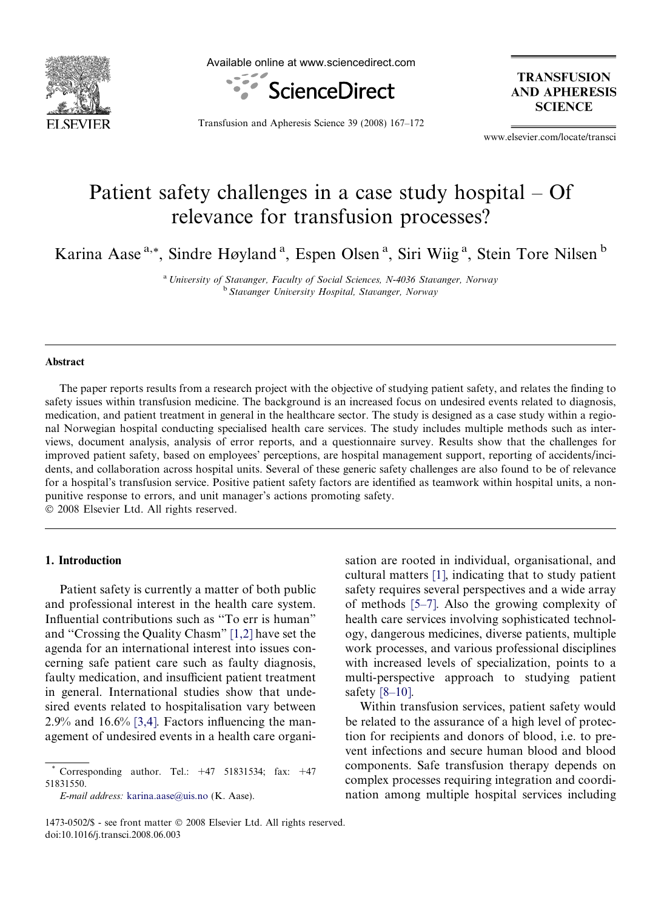

Available online at www.sciencedirect.com



**TRANSFUSION AND APHERESIS SCIENCE** 

Transfusion and Apheresis Science 39 (2008) 167–172

www.elsevier.com/locate/transci

# Patient safety challenges in a case study hospital – Of relevance for transfusion processes?

Karina Aase<sup>a,\*</sup>, Sindre Høyland<sup>a</sup>, Espen Olsen<sup>a</sup>, Siri Wiig<sup>a</sup>, Stein Tore Nilsen<sup>b</sup>

<sup>a</sup> University of Stavanger, Faculty of Social Sciences, N-4036 Stavanger, Norway <sup>b</sup> Stavanger University Hospital, Stavanger, Norway

## Abstract

The paper reports results from a research project with the objective of studying patient safety, and relates the finding to safety issues within transfusion medicine. The background is an increased focus on undesired events related to diagnosis, medication, and patient treatment in general in the healthcare sector. The study is designed as a case study within a regional Norwegian hospital conducting specialised health care services. The study includes multiple methods such as interviews, document analysis, analysis of error reports, and a questionnaire survey. Results show that the challenges for improved patient safety, based on employees' perceptions, are hospital management support, reporting of accidents/incidents, and collaboration across hospital units. Several of these generic safety challenges are also found to be of relevance for a hospital's transfusion service. Positive patient safety factors are identified as teamwork within hospital units, a nonpunitive response to errors, and unit manager's actions promoting safety.

 $© 2008 Elsevier Ltd. All rights reserved.$ 

#### 1. Introduction

Patient safety is currently a matter of both public and professional interest in the health care system. Influential contributions such as ''To err is human" and ''Crossing the Quality Chasm" [\[1,2\]](#page-4-0) have set the agenda for an international interest into issues concerning safe patient care such as faulty diagnosis, faulty medication, and insufficient patient treatment in general. International studies show that undesired events related to hospitalisation vary between  $2.9\%$  and  $16.6\%$  [\[3,4\].](#page-4-0) Factors influencing the management of undesired events in a health care organi-

E-mail address: [karina.aase@uis.no](mailto:karina.aase@uis.no) (K. Aase).

sation are rooted in individual, organisational, and cultural matters [\[1\]](#page-4-0), indicating that to study patient safety requires several perspectives and a wide array of methods [\[5–7\].](#page-4-0) Also the growing complexity of health care services involving sophisticated technology, dangerous medicines, diverse patients, multiple work processes, and various professional disciplines with increased levels of specialization, points to a multi-perspective approach to studying patient safety [\[8–10\]](#page-4-0).

Within transfusion services, patient safety would be related to the assurance of a high level of protection for recipients and donors of blood, i.e. to prevent infections and secure human blood and blood components. Safe transfusion therapy depends on complex processes requiring integration and coordination among multiple hospital services including

Corresponding author. Tel.:  $+47$  51831534; fax:  $+47$ 51831550.

<sup>1473-0502/\$ -</sup> see front matter © 2008 Elsevier Ltd. All rights reserved. doi:10.1016/j.transci.2008.06.003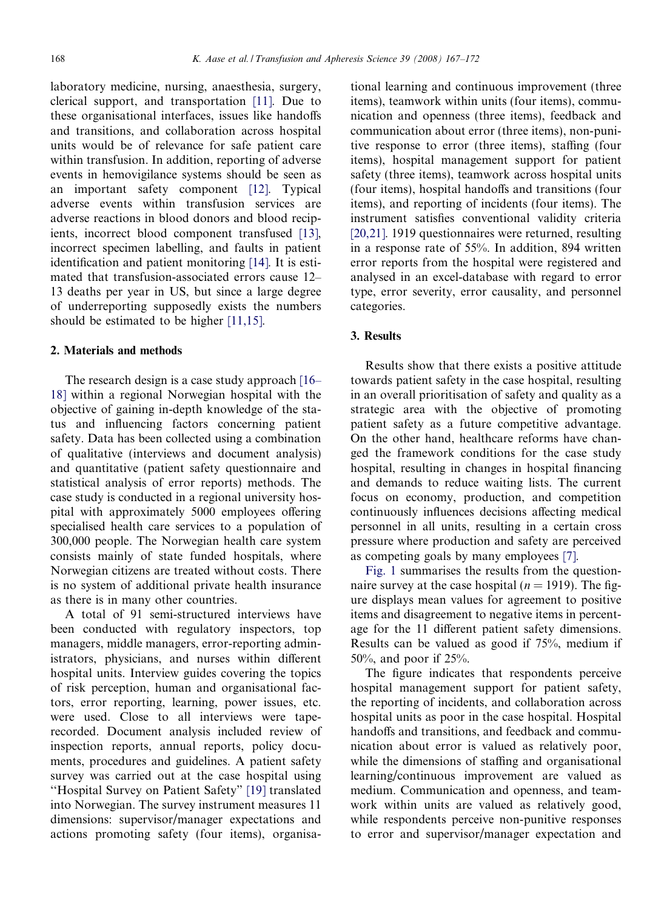laboratory medicine, nursing, anaesthesia, surgery, clerical support, and transportation [\[11\].](#page-5-0) Due to these organisational interfaces, issues like handoffs and transitions, and collaboration across hospital units would be of relevance for safe patient care within transfusion. In addition, reporting of adverse events in hemovigilance systems should be seen as an important safety component [\[12\].](#page-5-0) Typical adverse events within transfusion services are adverse reactions in blood donors and blood recipients, incorrect blood component transfused [\[13\],](#page-5-0) incorrect specimen labelling, and faults in patient identification and patient monitoring [\[14\].](#page-5-0) It is estimated that transfusion-associated errors cause 12– 13 deaths per year in US, but since a large degree of underreporting supposedly exists the numbers should be estimated to be higher [\[11,15\].](#page-5-0)

#### 2. Materials and methods

The research design is a case study approach [\[16–](#page-5-0) [18\]](#page-5-0) within a regional Norwegian hospital with the objective of gaining in-depth knowledge of the status and influencing factors concerning patient safety. Data has been collected using a combination of qualitative (interviews and document analysis) and quantitative (patient safety questionnaire and statistical analysis of error reports) methods. The case study is conducted in a regional university hospital with approximately 5000 employees offering specialised health care services to a population of 300,000 people. The Norwegian health care system consists mainly of state funded hospitals, where Norwegian citizens are treated without costs. There is no system of additional private health insurance as there is in many other countries.

A total of 91 semi-structured interviews have been conducted with regulatory inspectors, top managers, middle managers, error-reporting administrators, physicians, and nurses within different hospital units. Interview guides covering the topics of risk perception, human and organisational factors, error reporting, learning, power issues, etc. were used. Close to all interviews were taperecorded. Document analysis included review of inspection reports, annual reports, policy documents, procedures and guidelines. A patient safety survey was carried out at the case hospital using ''Hospital Survey on Patient Safety" [\[19\]](#page-5-0) translated into Norwegian. The survey instrument measures 11 dimensions: supervisor/manager expectations and actions promoting safety (four items), organisa-

tional learning and continuous improvement (three items), teamwork within units (four items), communication and openness (three items), feedback and communication about error (three items), non-punitive response to error (three items), staffing (four items), hospital management support for patient safety (three items), teamwork across hospital units (four items), hospital handoffs and transitions (four items), and reporting of incidents (four items). The instrument satisfies conventional validity criteria [\[20,21\]](#page-5-0). 1919 questionnaires were returned, resulting in a response rate of 55%. In addition, 894 written error reports from the hospital were registered and analysed in an excel-database with regard to error type, error severity, error causality, and personnel categories.

#### 3. Results

Results show that there exists a positive attitude towards patient safety in the case hospital, resulting in an overall prioritisation of safety and quality as a strategic area with the objective of promoting patient safety as a future competitive advantage. On the other hand, healthcare reforms have changed the framework conditions for the case study hospital, resulting in changes in hospital financing and demands to reduce waiting lists. The current focus on economy, production, and competition continuously influences decisions affecting medical personnel in all units, resulting in a certain cross pressure where production and safety are perceived as competing goals by many employees [\[7\]](#page-4-0).

[Fig. 1](#page-2-0) summarises the results from the questionnaire survey at the case hospital ( $n = 1919$ ). The figure displays mean values for agreement to positive items and disagreement to negative items in percentage for the 11 different patient safety dimensions. Results can be valued as good if 75%, medium if 50%, and poor if 25%.

The figure indicates that respondents perceive hospital management support for patient safety, the reporting of incidents, and collaboration across hospital units as poor in the case hospital. Hospital handoffs and transitions, and feedback and communication about error is valued as relatively poor, while the dimensions of staffing and organisational learning/continuous improvement are valued as medium. Communication and openness, and teamwork within units are valued as relatively good, while respondents perceive non-punitive responses to error and supervisor/manager expectation and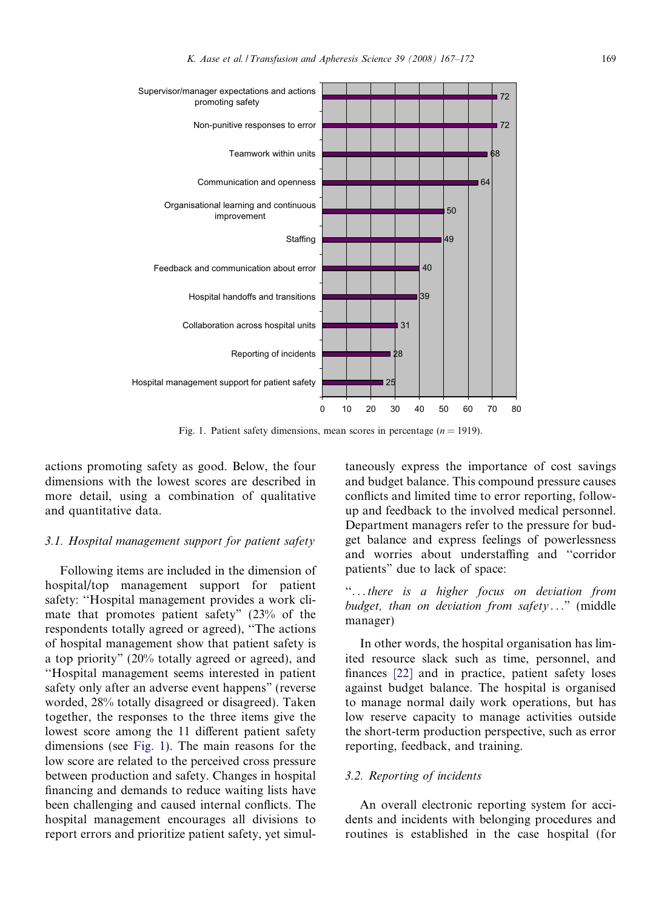<span id="page-2-0"></span>

Fig. 1. Patient safety dimensions, mean scores in percentage  $(n = 1919)$ .

actions promoting safety as good. Below, the four dimensions with the lowest scores are described in more detail, using a combination of qualitative and quantitative data.

## 3.1. Hospital management support for patient safety

Following items are included in the dimension of hospital/top management support for patient safety: ''Hospital management provides a work climate that promotes patient safety" (23% of the respondents totally agreed or agreed), ''The actions of hospital management show that patient safety is a top priority" (20% totally agreed or agreed), and ''Hospital management seems interested in patient safety only after an adverse event happens" (reverse worded, 28% totally disagreed or disagreed). Taken together, the responses to the three items give the lowest score among the 11 different patient safety dimensions (see Fig. 1). The main reasons for the low score are related to the perceived cross pressure between production and safety. Changes in hospital financing and demands to reduce waiting lists have been challenging and caused internal conflicts. The hospital management encourages all divisions to report errors and prioritize patient safety, yet simul-

taneously express the importance of cost savings and budget balance. This compound pressure causes conflicts and limited time to error reporting, followup and feedback to the involved medical personnel. Department managers refer to the pressure for budget balance and express feelings of powerlessness and worries about understaffing and ''corridor patients" due to lack of space:

''...there is a higher focus on deviation from budget, than on deviation from safety..." (middle manager)

In other words, the hospital organisation has limited resource slack such as time, personnel, and finances [\[22\]](#page-5-0) and in practice, patient safety loses against budget balance. The hospital is organised to manage normal daily work operations, but has low reserve capacity to manage activities outside the short-term production perspective, such as error reporting, feedback, and training.

## 3.2. Reporting of incidents

An overall electronic reporting system for accidents and incidents with belonging procedures and routines is established in the case hospital (for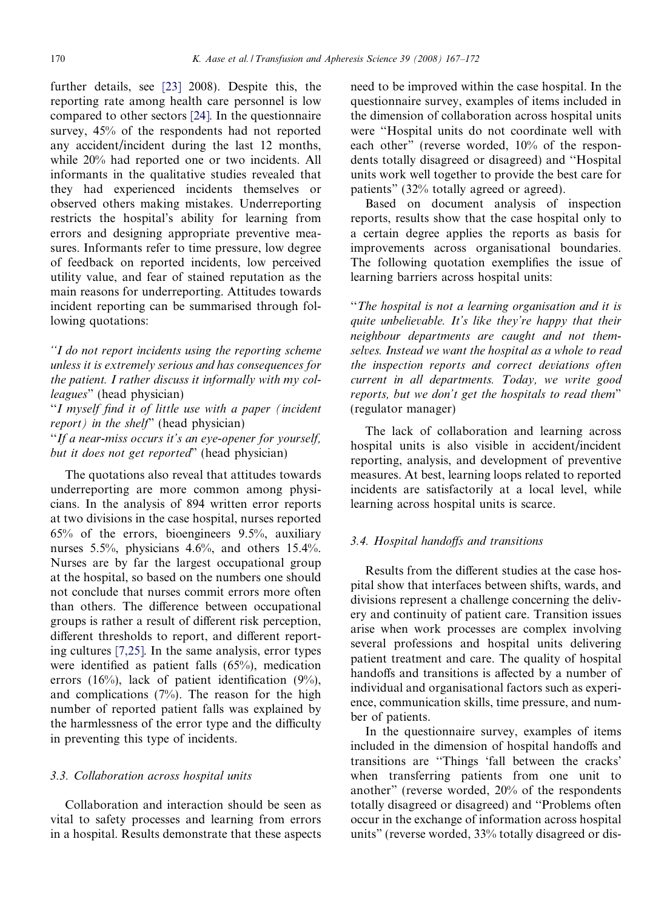further details, see [\[23\]](#page-5-0) 2008). Despite this, the reporting rate among health care personnel is low compared to other sectors [\[24\].](#page-5-0) In the questionnaire survey, 45% of the respondents had not reported any accident/incident during the last 12 months, while 20% had reported one or two incidents. All informants in the qualitative studies revealed that they had experienced incidents themselves or observed others making mistakes. Underreporting restricts the hospital's ability for learning from errors and designing appropriate preventive measures. Informants refer to time pressure, low degree of feedback on reported incidents, low perceived utility value, and fear of stained reputation as the main reasons for underreporting. Attitudes towards incident reporting can be summarised through following quotations:

''I do not report incidents using the reporting scheme unless it is extremely serious and has consequences for the patient. I rather discuss it informally with my colleagues" (head physician)

''I myself find it of little use with a paper (incident  $report)$  in the shelf" (head physician)

''If a near-miss occurs it's an eye-opener for yourself, but it does not get reported" (head physician)

The quotations also reveal that attitudes towards underreporting are more common among physicians. In the analysis of 894 written error reports at two divisions in the case hospital, nurses reported 65% of the errors, bioengineers 9.5%, auxiliary nurses 5.5%, physicians 4.6%, and others 15.4%. Nurses are by far the largest occupational group at the hospital, so based on the numbers one should not conclude that nurses commit errors more often than others. The difference between occupational groups is rather a result of different risk perception, different thresholds to report, and different reporting cultures [\[7,25\]](#page-4-0). In the same analysis, error types were identified as patient falls (65%), medication errors (16%), lack of patient identification (9%), and complications  $(7%)$ . The reason for the high number of reported patient falls was explained by the harmlessness of the error type and the difficulty in preventing this type of incidents.

#### 3.3. Collaboration across hospital units

Collaboration and interaction should be seen as vital to safety processes and learning from errors in a hospital. Results demonstrate that these aspects need to be improved within the case hospital. In the questionnaire survey, examples of items included in the dimension of collaboration across hospital units were ''Hospital units do not coordinate well with each other" (reverse worded, 10% of the respondents totally disagreed or disagreed) and ''Hospital units work well together to provide the best care for patients" (32% totally agreed or agreed).

Based on document analysis of inspection reports, results show that the case hospital only to a certain degree applies the reports as basis for improvements across organisational boundaries. The following quotation exemplifies the issue of learning barriers across hospital units:

''The hospital is not a learning organisation and it is quite unbelievable. It's like they're happy that their neighbour departments are caught and not themselves. Instead we want the hospital as a whole to read the inspection reports and correct deviations often current in all departments. Today, we write good reports, but we don't get the hospitals to read them" (regulator manager)

The lack of collaboration and learning across hospital units is also visible in accident/incident reporting, analysis, and development of preventive measures. At best, learning loops related to reported incidents are satisfactorily at a local level, while learning across hospital units is scarce.

## 3.4. Hospital handoffs and transitions

Results from the different studies at the case hospital show that interfaces between shifts, wards, and divisions represent a challenge concerning the delivery and continuity of patient care. Transition issues arise when work processes are complex involving several professions and hospital units delivering patient treatment and care. The quality of hospital handoffs and transitions is affected by a number of individual and organisational factors such as experience, communication skills, time pressure, and number of patients.

In the questionnaire survey, examples of items included in the dimension of hospital handoffs and transitions are ''Things 'fall between the cracks' when transferring patients from one unit to another" (reverse worded, 20% of the respondents totally disagreed or disagreed) and ''Problems often occur in the exchange of information across hospital units" (reverse worded, 33% totally disagreed or dis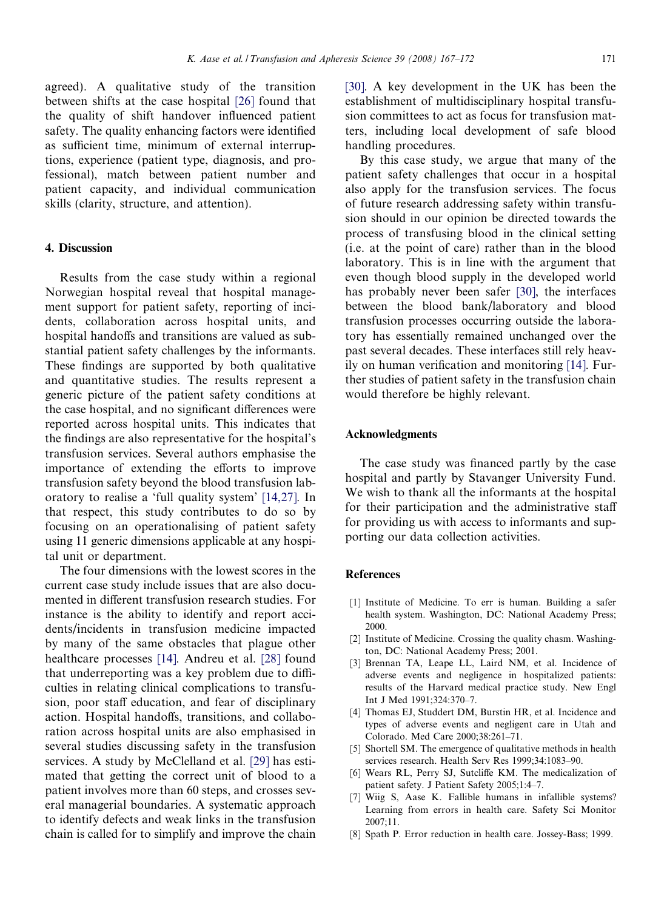<span id="page-4-0"></span>agreed). A qualitative study of the transition between shifts at the case hospital [\[26\]](#page-5-0) found that the quality of shift handover influenced patient safety. The quality enhancing factors were identified as sufficient time, minimum of external interruptions, experience (patient type, diagnosis, and professional), match between patient number and patient capacity, and individual communication skills (clarity, structure, and attention).

#### 4. Discussion

Results from the case study within a regional Norwegian hospital reveal that hospital management support for patient safety, reporting of incidents, collaboration across hospital units, and hospital handoffs and transitions are valued as substantial patient safety challenges by the informants. These findings are supported by both qualitative and quantitative studies. The results represent a generic picture of the patient safety conditions at the case hospital, and no significant differences were reported across hospital units. This indicates that the findings are also representative for the hospital's transfusion services. Several authors emphasise the importance of extending the efforts to improve transfusion safety beyond the blood transfusion laboratory to realise a 'full quality system' [\[14,27\]](#page-5-0). In that respect, this study contributes to do so by focusing on an operationalising of patient safety using 11 generic dimensions applicable at any hospital unit or department.

The four dimensions with the lowest scores in the current case study include issues that are also documented in different transfusion research studies. For instance is the ability to identify and report accidents/incidents in transfusion medicine impacted by many of the same obstacles that plague other healthcare processes [\[14\].](#page-5-0) Andreu et al. [\[28\]](#page-5-0) found that underreporting was a key problem due to difficulties in relating clinical complications to transfusion, poor staff education, and fear of disciplinary action. Hospital handoffs, transitions, and collaboration across hospital units are also emphasised in several studies discussing safety in the transfusion services. A study by McClelland et al. [\[29\]](#page-5-0) has estimated that getting the correct unit of blood to a patient involves more than 60 steps, and crosses several managerial boundaries. A systematic approach to identify defects and weak links in the transfusion chain is called for to simplify and improve the chain [\[30\]](#page-5-0). A key development in the UK has been the establishment of multidisciplinary hospital transfusion committees to act as focus for transfusion matters, including local development of safe blood handling procedures.

By this case study, we argue that many of the patient safety challenges that occur in a hospital also apply for the transfusion services. The focus of future research addressing safety within transfusion should in our opinion be directed towards the process of transfusing blood in the clinical setting (i.e. at the point of care) rather than in the blood laboratory. This is in line with the argument that even though blood supply in the developed world has probably never been safer [\[30\]](#page-5-0), the interfaces between the blood bank/laboratory and blood transfusion processes occurring outside the laboratory has essentially remained unchanged over the past several decades. These interfaces still rely heavily on human verification and monitoring [\[14\]](#page-5-0). Further studies of patient safety in the transfusion chain would therefore be highly relevant.

#### Acknowledgments

The case study was financed partly by the case hospital and partly by Stavanger University Fund. We wish to thank all the informants at the hospital for their participation and the administrative staff for providing us with access to informants and supporting our data collection activities.

#### **References**

- [1] Institute of Medicine. To err is human. Building a safer health system. Washington, DC: National Academy Press; 2000.
- [2] Institute of Medicine. Crossing the quality chasm. Washington, DC: National Academy Press; 2001.
- [3] Brennan TA, Leape LL, Laird NM, et al. Incidence of adverse events and negligence in hospitalized patients: results of the Harvard medical practice study. New Engl Int J Med 1991;324:370–7.
- [4] Thomas EJ, Studdert DM, Burstin HR, et al. Incidence and types of adverse events and negligent care in Utah and Colorado. Med Care 2000;38:261–71.
- [5] Shortell SM. The emergence of qualitative methods in health services research. Health Serv Res 1999;34:1083–90.
- [6] Wears RL, Perry SJ, Sutcliffe KM. The medicalization of patient safety. J Patient Safety 2005;1:4–7.
- [7] Wiig S, Aase K. Fallible humans in infallible systems? Learning from errors in health care. Safety Sci Monitor  $2007:11$
- [8] Spath P. Error reduction in health care. Jossey-Bass; 1999.